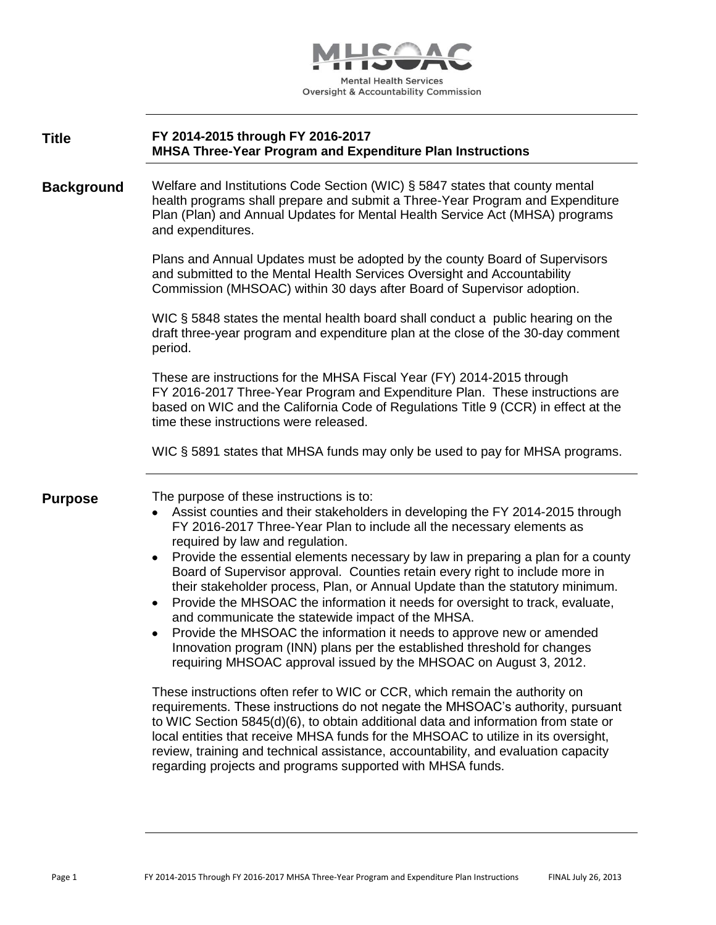

| <b>Title</b> | FY 2014-2015 through FY 2016-2017                                |
|--------------|------------------------------------------------------------------|
|              | <b>MHSA Three-Year Program and Expenditure Plan Instructions</b> |

**Background** Welfare and Institutions Code Section (WIC) § 5847 states that county mental health programs shall prepare and submit a Three-Year Program and Expenditure Plan (Plan) and Annual Updates for Mental Health Service Act (MHSA) programs and expenditures.

> Plans and Annual Updates must be adopted by the county Board of Supervisors and submitted to the Mental Health Services Oversight and Accountability Commission (MHSOAC) within 30 days after Board of Supervisor adoption.

WIC § 5848 states the mental health board shall conduct a public hearing on the draft three-year program and expenditure plan at the close of the 30-day comment period.

These are instructions for the MHSA Fiscal Year (FY) 2014-2015 through FY 2016-2017 Three-Year Program and Expenditure Plan. These instructions are based on WIC and the California Code of Regulations Title 9 (CCR) in effect at the time these instructions were released.

WIC § 5891 states that MHSA funds may only be used to pay for MHSA programs.

**Purpose** The purpose of these instructions is to:

- Assist counties and their stakeholders in developing the FY 2014-2015 through FY 2016-2017 Three-Year Plan to include all the necessary elements as required by law and regulation.
- Provide the essential elements necessary by law in preparing a plan for a county Board of Supervisor approval. Counties retain every right to include more in their stakeholder process, Plan, or Annual Update than the statutory minimum.
- Provide the MHSOAC the information it needs for oversight to track, evaluate, and communicate the statewide impact of the MHSA.
- Provide the MHSOAC the information it needs to approve new or amended Innovation program (INN) plans per the established threshold for changes requiring MHSOAC approval issued by the MHSOAC on August 3, 2012.

These instructions often refer to WIC or CCR, which remain the authority on requirements. These instructions do not negate the MHSOAC's authority, pursuant to WIC Section 5845(d)(6), to obtain additional data and information from state or local entities that receive MHSA funds for the MHSOAC to utilize in its oversight, review, training and technical assistance, accountability, and evaluation capacity regarding projects and programs supported with MHSA funds.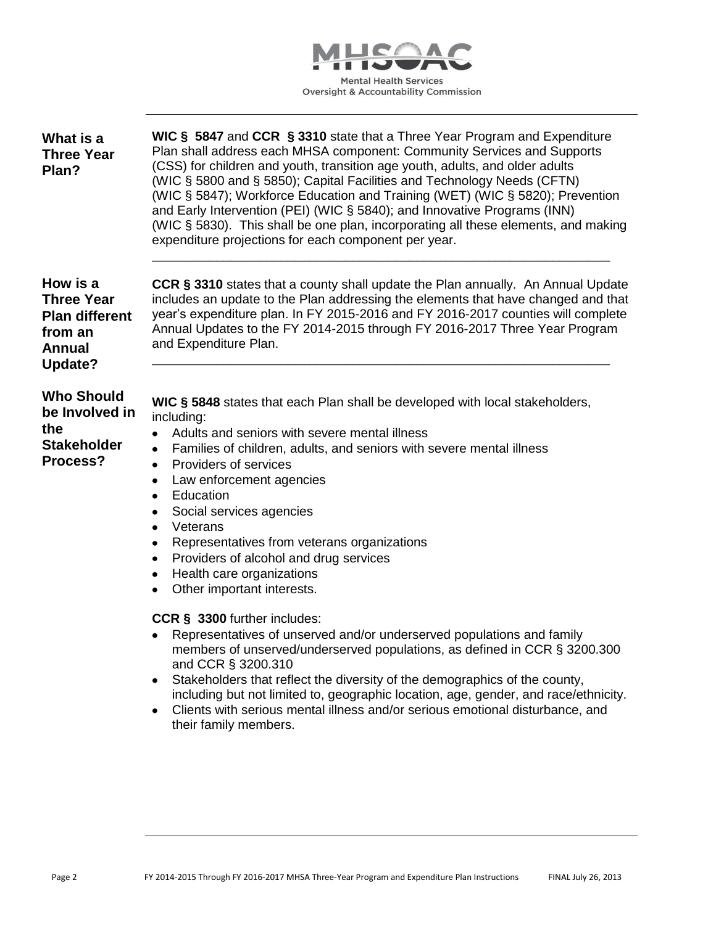

| What is a<br><b>Three Year</b><br>Plan?                                                       | WIC § 5847 and CCR § 3310 state that a Three Year Program and Expenditure<br>Plan shall address each MHSA component: Community Services and Supports<br>(CSS) for children and youth, transition age youth, adults, and older adults<br>(WIC § 5800 and § 5850); Capital Facilities and Technology Needs (CFTN)<br>(WIC § 5847); Workforce Education and Training (WET) (WIC § 5820); Prevention<br>and Early Intervention (PEI) (WIC § 5840); and Innovative Programs (INN)<br>(WIC § 5830). This shall be one plan, incorporating all these elements, and making<br>expenditure projections for each component per year.                                                      |
|-----------------------------------------------------------------------------------------------|---------------------------------------------------------------------------------------------------------------------------------------------------------------------------------------------------------------------------------------------------------------------------------------------------------------------------------------------------------------------------------------------------------------------------------------------------------------------------------------------------------------------------------------------------------------------------------------------------------------------------------------------------------------------------------|
| How is a<br><b>Three Year</b><br><b>Plan different</b><br>from an<br><b>Annual</b><br>Update? | CCR § 3310 states that a county shall update the Plan annually. An Annual Update<br>includes an update to the Plan addressing the elements that have changed and that<br>year's expenditure plan. In FY 2015-2016 and FY 2016-2017 counties will complete<br>Annual Updates to the FY 2014-2015 through FY 2016-2017 Three Year Program<br>and Expenditure Plan.                                                                                                                                                                                                                                                                                                                |
| <b>Who Should</b><br>be Involved in<br>the<br><b>Stakeholder</b><br>Process?                  | WIC § 5848 states that each Plan shall be developed with local stakeholders,<br>including:<br>Adults and seniors with severe mental illness<br>$\bullet$<br>Families of children, adults, and seniors with severe mental illness<br>$\bullet$<br>Providers of services<br>٠<br>Law enforcement agencies<br>٠<br>Education<br>$\bullet$<br>Social services agencies<br>Veterans<br>٠<br>Representatives from veterans organizations<br>٠<br>Providers of alcohol and drug services<br>$\bullet$<br>Health care organizations<br>$\bullet$<br>Other important interests.<br>CCR § 3300 further includes:<br>Representatives of unserved and/or underserved populations and family |
|                                                                                               | members of unserved/underserved populations, as defined in CCR § 3200.300<br>and CCR § 3200.310<br>Stakeholders that reflect the diversity of the demographics of the county,<br>including but not limited to, geographic location, age, gender, and race/ethnicity.<br>Clients with serious mental illness and/or serious emotional disturbance, and<br>٠<br>their family members.                                                                                                                                                                                                                                                                                             |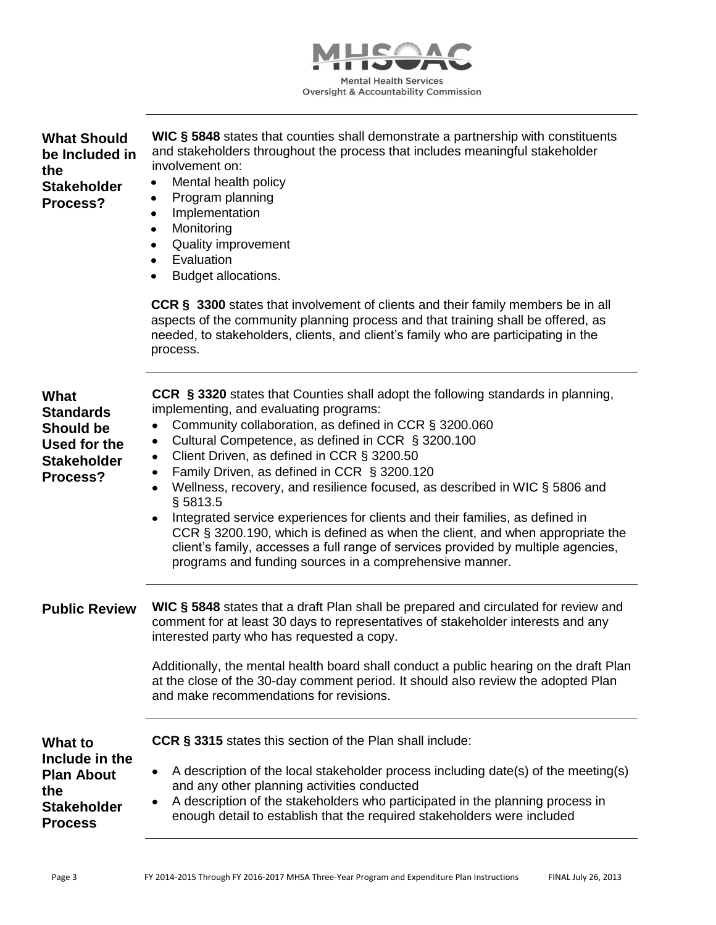

| <b>What Should</b><br>be Included in<br>the<br><b>Stakeholder</b><br>Process?                         | WIC § 5848 states that counties shall demonstrate a partnership with constituents<br>and stakeholders throughout the process that includes meaningful stakeholder<br>involvement on:<br>Mental health policy<br>$\bullet$<br>Program planning<br>٠<br>Implementation<br>٠<br>Monitoring<br>$\bullet$<br><b>Quality improvement</b><br>$\bullet$<br>Evaluation<br>$\bullet$<br>Budget allocations.<br>$\bullet$                                                                                                                                                                                                                                                                                                                                                                    |
|-------------------------------------------------------------------------------------------------------|-----------------------------------------------------------------------------------------------------------------------------------------------------------------------------------------------------------------------------------------------------------------------------------------------------------------------------------------------------------------------------------------------------------------------------------------------------------------------------------------------------------------------------------------------------------------------------------------------------------------------------------------------------------------------------------------------------------------------------------------------------------------------------------|
|                                                                                                       | <b>CCR § 3300</b> states that involvement of clients and their family members be in all<br>aspects of the community planning process and that training shall be offered, as<br>needed, to stakeholders, clients, and client's family who are participating in the<br>process.                                                                                                                                                                                                                                                                                                                                                                                                                                                                                                     |
| <b>What</b><br><b>Standards</b><br><b>Should be</b><br>Used for the<br><b>Stakeholder</b><br>Process? | CCR § 3320 states that Counties shall adopt the following standards in planning,<br>implementing, and evaluating programs:<br>Community collaboration, as defined in CCR § 3200.060<br>Cultural Competence, as defined in CCR § 3200.100<br>٠<br>Client Driven, as defined in CCR § 3200.50<br>٠<br>Family Driven, as defined in CCR § 3200.120<br>٠<br>Wellness, recovery, and resilience focused, as described in WIC § 5806 and<br>٠<br>§ 5813.5<br>Integrated service experiences for clients and their families, as defined in<br>$\bullet$<br>CCR § 3200.190, which is defined as when the client, and when appropriate the<br>client's family, accesses a full range of services provided by multiple agencies,<br>programs and funding sources in a comprehensive manner. |
| <b>Public Review</b>                                                                                  | WIC § 5848 states that a draft Plan shall be prepared and circulated for review and<br>comment for at least 30 days to representatives of stakeholder interests and any<br>interested party who has requested a copy.<br>Additionally, the mental health board shall conduct a public hearing on the draft Plan<br>at the close of the 30-day comment period. It should also review the adopted Plan<br>and make recommendations for revisions.                                                                                                                                                                                                                                                                                                                                   |
| What to<br>Include in the<br><b>Plan About</b><br>the<br><b>Stakeholder</b><br><b>Process</b>         | <b>CCR § 3315</b> states this section of the Plan shall include:<br>A description of the local stakeholder process including date(s) of the meeting(s)<br>٠<br>and any other planning activities conducted<br>A description of the stakeholders who participated in the planning process in<br>٠<br>enough detail to establish that the required stakeholders were included                                                                                                                                                                                                                                                                                                                                                                                                       |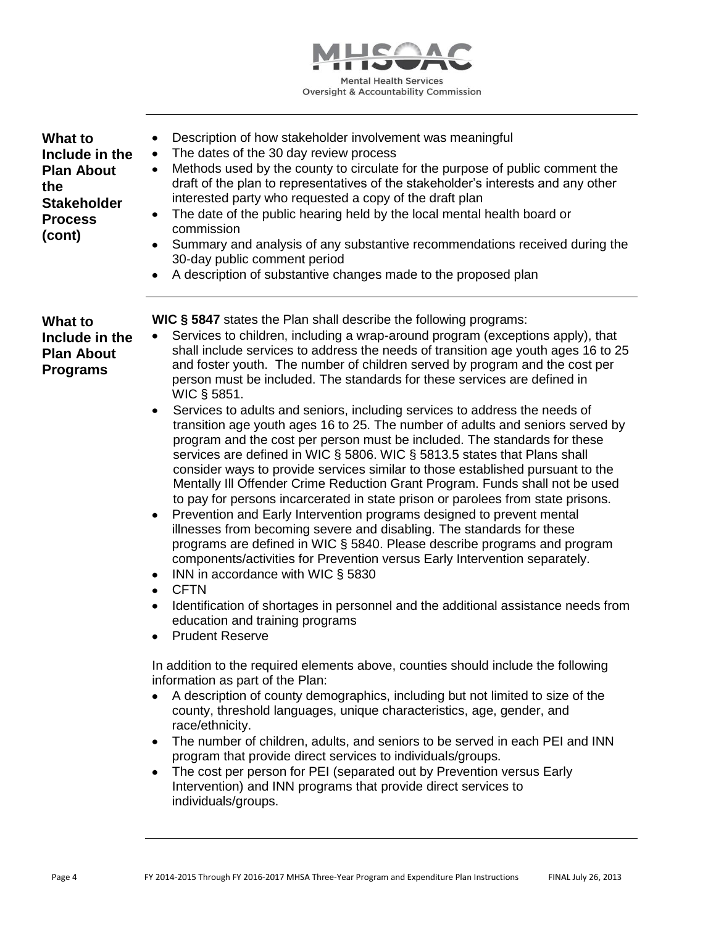

| What to<br>Include in the<br><b>Plan About</b><br>the<br><b>Stakeholder</b><br><b>Process</b><br>(cont) | Description of how stakeholder involvement was meaningful<br>٠<br>The dates of the 30 day review process<br>$\bullet$<br>Methods used by the county to circulate for the purpose of public comment the<br>٠<br>draft of the plan to representatives of the stakeholder's interests and any other<br>interested party who requested a copy of the draft plan<br>The date of the public hearing held by the local mental health board or<br>٠<br>commission<br>Summary and analysis of any substantive recommendations received during the<br>٠<br>30-day public comment period<br>A description of substantive changes made to the proposed plan<br>$\bullet$                                                                                                                                                                                                                                                                                                                                                                                                                                                                                                                                                                                                                                                                                                                                                                                                                                                                                                                                                                                                                                                                                                                                                                                                                                                                                                                                                                                                                                                                                                                        |
|---------------------------------------------------------------------------------------------------------|-------------------------------------------------------------------------------------------------------------------------------------------------------------------------------------------------------------------------------------------------------------------------------------------------------------------------------------------------------------------------------------------------------------------------------------------------------------------------------------------------------------------------------------------------------------------------------------------------------------------------------------------------------------------------------------------------------------------------------------------------------------------------------------------------------------------------------------------------------------------------------------------------------------------------------------------------------------------------------------------------------------------------------------------------------------------------------------------------------------------------------------------------------------------------------------------------------------------------------------------------------------------------------------------------------------------------------------------------------------------------------------------------------------------------------------------------------------------------------------------------------------------------------------------------------------------------------------------------------------------------------------------------------------------------------------------------------------------------------------------------------------------------------------------------------------------------------------------------------------------------------------------------------------------------------------------------------------------------------------------------------------------------------------------------------------------------------------------------------------------------------------------------------------------------------------|
| What to<br>Include in the<br><b>Plan About</b><br><b>Programs</b>                                       | <b>WIC § 5847</b> states the Plan shall describe the following programs:<br>Services to children, including a wrap-around program (exceptions apply), that<br>shall include services to address the needs of transition age youth ages 16 to 25<br>and foster youth. The number of children served by program and the cost per<br>person must be included. The standards for these services are defined in<br>WIC § 5851.<br>Services to adults and seniors, including services to address the needs of<br>$\bullet$<br>transition age youth ages 16 to 25. The number of adults and seniors served by<br>program and the cost per person must be included. The standards for these<br>services are defined in WIC § 5806. WIC § 5813.5 states that Plans shall<br>consider ways to provide services similar to those established pursuant to the<br>Mentally III Offender Crime Reduction Grant Program. Funds shall not be used<br>to pay for persons incarcerated in state prison or parolees from state prisons.<br>Prevention and Early Intervention programs designed to prevent mental<br>$\bullet$<br>illnesses from becoming severe and disabling. The standards for these<br>programs are defined in WIC § 5840. Please describe programs and program<br>components/activities for Prevention versus Early Intervention separately.<br>INN in accordance with WIC § 5830<br>٠<br><b>CFTN</b><br>$\bullet$<br>Identification of shortages in personnel and the additional assistance needs from<br>$\bullet$<br>education and training programs<br><b>Prudent Reserve</b><br>In addition to the required elements above, counties should include the following<br>information as part of the Plan:<br>A description of county demographics, including but not limited to size of the<br>county, threshold languages, unique characteristics, age, gender, and<br>race/ethnicity.<br>The number of children, adults, and seniors to be served in each PEI and INN<br>program that provide direct services to individuals/groups.<br>The cost per person for PEI (separated out by Prevention versus Early<br>Intervention) and INN programs that provide direct services to |

individuals/groups.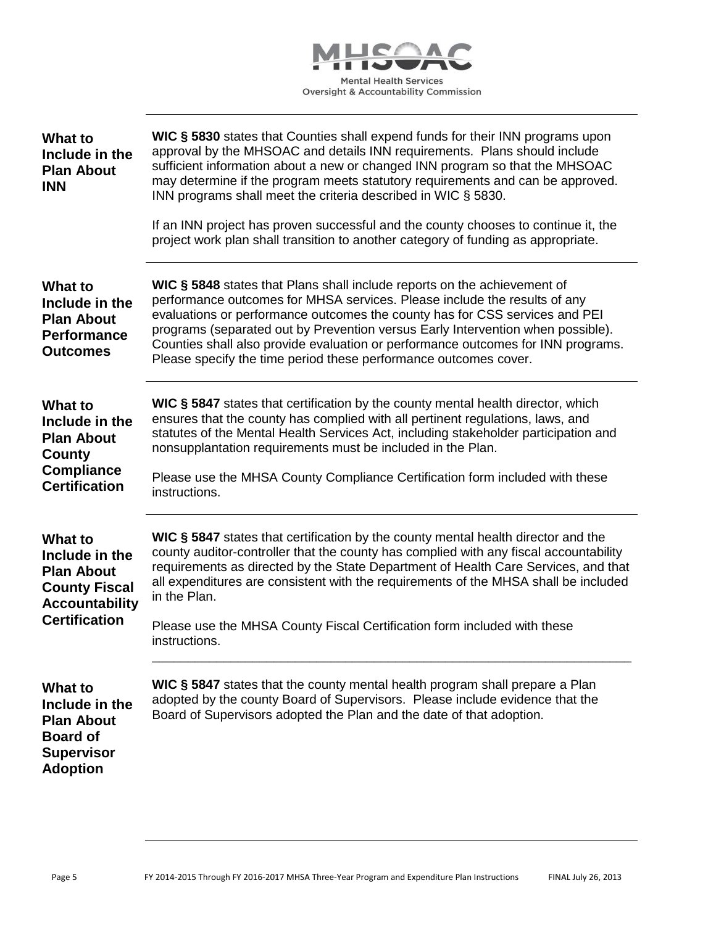

| <b>What to</b><br>Include in the<br><b>Plan About</b><br><b>INN</b>                                                            | WIC § 5830 states that Counties shall expend funds for their INN programs upon<br>approval by the MHSOAC and details INN requirements. Plans should include<br>sufficient information about a new or changed INN program so that the MHSOAC<br>may determine if the program meets statutory requirements and can be approved.<br>INN programs shall meet the criteria described in WIC § 5830.<br>If an INN project has proven successful and the county chooses to continue it, the<br>project work plan shall transition to another category of funding as appropriate. |
|--------------------------------------------------------------------------------------------------------------------------------|---------------------------------------------------------------------------------------------------------------------------------------------------------------------------------------------------------------------------------------------------------------------------------------------------------------------------------------------------------------------------------------------------------------------------------------------------------------------------------------------------------------------------------------------------------------------------|
| <b>What to</b><br>Include in the<br><b>Plan About</b><br><b>Performance</b><br><b>Outcomes</b>                                 | WIC § 5848 states that Plans shall include reports on the achievement of<br>performance outcomes for MHSA services. Please include the results of any<br>evaluations or performance outcomes the county has for CSS services and PEI<br>programs (separated out by Prevention versus Early Intervention when possible).<br>Counties shall also provide evaluation or performance outcomes for INN programs.<br>Please specify the time period these performance outcomes cover.                                                                                           |
| <b>What to</b><br>Include in the<br><b>Plan About</b><br><b>County</b><br><b>Compliance</b><br><b>Certification</b>            | WIC § 5847 states that certification by the county mental health director, which<br>ensures that the county has complied with all pertinent regulations, laws, and<br>statutes of the Mental Health Services Act, including stakeholder participation and<br>nonsupplantation requirements must be included in the Plan.<br>Please use the MHSA County Compliance Certification form included with these<br>instructions.                                                                                                                                                 |
| <b>What to</b><br>Include in the<br><b>Plan About</b><br><b>County Fiscal</b><br><b>Accountability</b><br><b>Certification</b> | WIC § 5847 states that certification by the county mental health director and the<br>county auditor-controller that the county has complied with any fiscal accountability<br>requirements as directed by the State Department of Health Care Services, and that<br>all expenditures are consistent with the requirements of the MHSA shall be included<br>in the Plan.<br>Please use the MHSA County Fiscal Certification form included with these<br>instructions.                                                                                                      |
| <b>What to</b><br>Include in the<br><b>Plan About</b><br><b>Board of</b><br><b>Supervisor</b><br><b>Adoption</b>               | WIC § 5847 states that the county mental health program shall prepare a Plan<br>adopted by the county Board of Supervisors. Please include evidence that the<br>Board of Supervisors adopted the Plan and the date of that adoption.                                                                                                                                                                                                                                                                                                                                      |